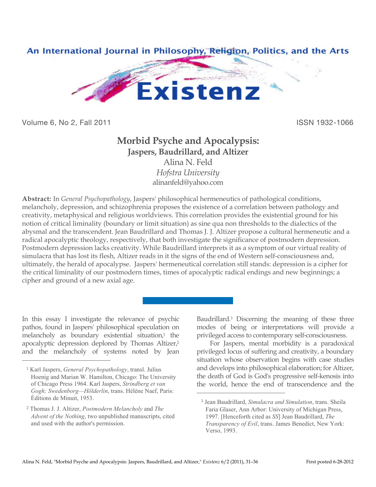

Volume 6, No 2, Fall 2011 **ISSN 1932-1066** 

## **Morbid Psyche and Apocalypsis: Jaspers, Baudrillard, and Altizer** Alina N. Feld *Hofstra University*

alinanfeld@yahoo.com

**Abstract:** In *General Psychopathology*, Jaspers' philosophical hermeneutics of pathological conditions, melancholy, depression, and schizophrenia proposes the existence of a correlation between pathology and creativity, metaphysical and religious worldviews. This correlation provides the existential ground for his notion of critical liminality (boundary or limit situation) as sine qua non thresholds to the dialectics of the abysmal and the transcendent. Jean Baudrillard and Thomas J. J. Altizer propose a cultural hermeneutic and a radical apocalyptic theology, respectively, that both investigate the significance of postmodern depression. Postmodern depression lacks creativity. While Baudrillard interprets it as a symptom of our virtual reality of simulacra that has lost its flesh, Altizer reads in it the signs of the end of Western self-consciousness and, ultimately, the herald of apocalypse. Jaspers' hermeneutical correlation still stands: depression is a cipher for the critical liminality of our postmodern times, times of apocalyptic radical endings and new beginnings; a cipher and ground of a new axial age.

 $\overline{a}$ 

In this essay I investigate the relevance of psychic pathos, found in Jaspers' philosophical speculation on melancholy as boundary existential situation,<sup>1</sup> the apocalyptic depression deplored by Thomas Altizer,<sup>2</sup> and the melancholy of systems noted by Jean

 $\overline{a}$ 

Baudrillard. <sup>3</sup> Discerning the meaning of these three modes of being or interpretations will provide a privileged access to contemporary self-consciousness.

For Jaspers, mental morbidity is a paradoxical privileged locus of suffering and creativity, a boundary situation whose observation begins with case studies and develops into philosophical elaboration; for Altizer, the death of God is God's progressive self-kenosis into the world, hence the end of transcendence and the

<sup>1</sup> Karl Jaspers, *General Psychopathology*, transl. Julius Hoenig and Marian W. Hamilton, Chicago: The University of Chicago Press 1964. Karl Jaspers, *Strindberg et van Gogh; Swedenborg—Hölderlin*, trans. Hélène Naef, Paris: Éditions de Minuit, 1953.

<sup>2</sup> Thomas J. J. Altizer, *Postmodern Melancholy* and *The Advent of the Nothing*, two unpublished manuscripts, cited and used with the author's permission.

<sup>3</sup> Jean Baudrillard, *Simulacra and Simulation*, trans. Sheila Faria Glaser, Ann Arbor: University of Michigan Press, 1997. [Henceforth cited as *SS*] Jean Baudrillard, *The Transparency of Evil*, trans. James Benedict, New York: Verso, 1993.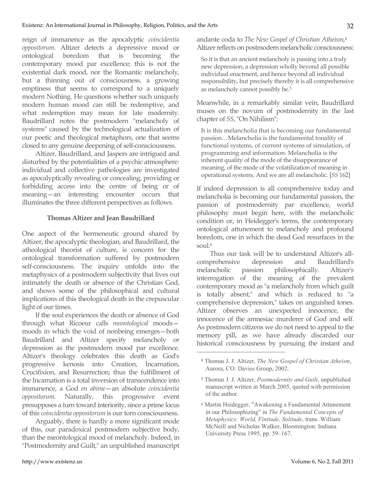reign of immanence as the apocalyptic *coincidentia oppositorum*. Altizer detects a depressive mood or ontological boredom that is becoming the contemporary mood par excellence; this is not the existential dark mood, nor the Romantic melancholy, but a thinning out of consciousness, a growing emptiness that seems to correspond to a uniquely modern Nothing. He questions whether such uniquely modern human mood can still be redemptive, and what redemption may mean for late modernity. Baudrillard notes the postmodern "melancholy of systems" caused by the technological actualization of our poetic and theological metaphors, one that seems closed to any genuine deepening of self-consciousness.

Altizer, Baudrillard, and Jaspers are intrigued and disturbed by the potentialities of a psychic atmosphere: individual and collective pathologies are investigated as apocalyptically revealing or concealing, providing or forbidding access into the centre of being or of meaning—an interesting encounter occurs that illuminates the three different perspectives as follows.

## **Thomas Altizer and Jean Baudrillard**

One aspect of the hermeneutic ground shared by Altizer, the apocalyptic theologian, and Baudrillard, the atheological theorist of culture, is concern for the ontological transformation suffered by postmodern self-consciousness. The inquiry unfolds into the metaphysics of a postmodern subjectivity that lives out intimately the death or absence of the Christian God, and shows some of the philosophical and cultural implications of this theological death in the crepuscular light of our times.

If the soul experiences the death or absence of God through what Ricoeur calls *meontological* moods moods in which the void of nonbeing emerges—both Baudrillard and Altizer specify melancholy or depression as the postmodern mood par excellence. Altizer's theology celebrates this death as God's progressive kenosis into Creation, Incarnation, Crucifixion, and Resurrection; thus the fulfillment of the Incarnation is a total inversion of transcendence into immanence, a God *en abime*—an absolute *coincidentia oppositorum*. Naturally, this progressive event presupposes a turn toward interiority, since a prime locus of this *coincidentia oppositorum* is our torn consciousness.

Arguably, there is hardly a more significant mode of this, our paradoxical postmodern subjective body, than the meontological mood of melancholy. Indeed, in "Postmodernity and Guilt," an unpublished manuscript

andante coda to *The New Gospel of Christian Atheism*, 4 Altizer reflects on postmodern melancholic consciousness:

So it is that an ancient melancholy is passing into a truly new depression, a depression wholly beyond all possible individual enactment, and hence beyond all individual responsibility, but precisely thereby it is all comprehensive as melancholy cannot possibly be.5

Meanwhile, in a remarkably similar vein, Baudrillard muses on the novum of postmodernity in the last chapter of *SS*, "On Nihilism":

It is this melancholia that is becoming our fundamental passion…Melancholia is the fundamental tonality of functional systems, of current systems of simulation, of programming and information. Melancholia is the inherent quality of the mode of the disappearance of meaning, of the mode of the volatilization of meaning in operational systems. And we are all melancholic. [*SS* 162]

If indeed depression is all comprehensive today and melancholia is becoming our fundamental passion, the passion of postmodernity par excellence, world philosophy must begin here, with the melancholic condition or, in Heidegger's terms, the contemporary ontological attunement to melancholy and profound boredom, one in which the dead God resurfaces in the  $s$  $011$ <sup>6</sup>

Thus our task will be to understand Altizer's allcomprehensive depression and Baudrillard's melancholic passion philosophically. Altizer's interrogation of the meaning of the prevalent contemporary mood as "a melancholy from which guilt is totally absent," and which is reduced to "a comprehensive depression," takes on anguished tones. Altizer observes an unexpected innocence, the innocence of the amnesiac murderer of God and self. As postmodern citizens we do not need to appeal to the memory pill, as we have already discarded our historical consciousness by pursuing the instant and

<sup>4</sup> Thomas J. J. Altizer, *The New Gospel of Christian Atheism*, Aurora, CO: Davies Group, 2002.

<sup>5</sup> Thomas J. J. Altizer, *Postmodernity and Guilt*, unpublished manuscript written in March 2005, quoted with permission of the author.

<sup>6</sup> Martin Heidegger, "Awakening a Fundamental Attunement in our Philosophizing" in *The Fundamental Concepts of Metaphysics: World, Finitude, Solitude*, trans. William McNeill and Nicholas Walker, Bloomington: Indiana University Press 1995, pp. 59–167.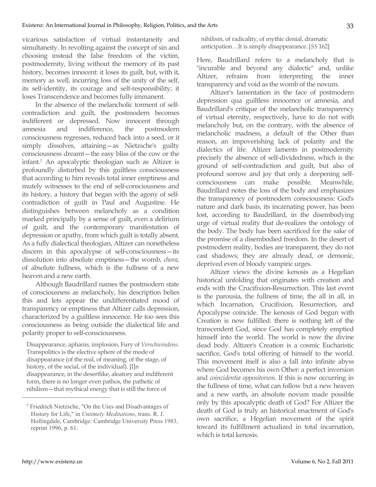vicarious satisfaction of virtual instantaneity and simultaneity. In revolting against the concept of sin and choosing instead the false freedom of the victim, postmodernity, living without the memory of its past history, becomes innocent: it loses its guilt, but, with it, memory as well, incurring loss of the unity of the self, its self-identity, its courage and self-responsibility; it loses Transcendence and becomes fully immanent.

In the absence of the melancholic torment of selfcontradiction and guilt, the postmodern becomes indifferent or depressed. Now innocent through amnesia and indifference, the postmodern consciousness regresses, reduced back into a seed, or it simply dissolves, attaining—as Nietzsche's guilty consciousness dreamt—the easy bliss of the cow or the infant.7 An apocalyptic theologian such as Altizer is profoundly disturbed by this guiltless consciousness that according to him reveals total inner emptiness and mutely witnesses to the end of self-consciousness and its history, a history that began with the agony of selfcontradiction of guilt in Paul and Augustine. He distinguishes between melancholy as a condition marked principally by a sense of guilt, even a delirium of guilt, and the contemporary manifestation of depression or apathy, from which guilt is totally absent. As a fully dialectical theologian, Altizer can nonetheless discern in this apocalypse of self-consciousness—its dissolution into absolute emptiness—the womb, *chora*, of absolute fullness, which is the fullness of a new heaven and a new earth.

Although Baudrillard names the postmodern state of consciousness as melancholy, his description belies this and lets appear the undifferentiated mood of transparency or emptiness that Altizer calls depression, characterized by a guiltless innocence. He too sees this consciousness as being outside the dialectical life and polarity proper to self-consciousness.

Disappearance, aphanis, implosion, Fury of *Verschwindens*. Transpolitics is the elective sphere of the mode of disappearance (of the real, of meaning, of the stage, of history, of the social, of the individual). [I]n disappearance, in the desertlike, aleatory and indifferent form, there is no longer even pathos, the pathetic of nihilism—that mythical energy that is still the force of

nihilism, of radicality, of mythic denial, dramatic anticipation…It is simply disappearance. [*SS* 162]

Here, Baudrillard refers to a melancholy that is "incurable and beyond any dialectic" and, unlike Altizer, refrains from interpreting the inner transparency and void as the womb of the novum.

Altizer's lamentation in the face of postmodern depression qua guiltless innocence or amnesia, and Baudrillard's critique of the melancholic transparency of virtual eternity, respectively, have to do not with melancholy but, on the contrary, with the absence of melancholic madness, a default of the Other than reason, an impoverishing lack of polarity and the dialectics of life. Altizer laments in postmodernity precisely the absence of self-dividedness, which is the ground of self-contradiction and guilt, but also of profound sorrow and joy that only a deepening selfconsciousness can make possible. Meanwhile, Baudrillard notes the loss of the body and emphasizes the transparency of postmodern consciousness: God's nature and dark basis, its incarnating power, has been lost, according to Baudrillard, in the disembodying urge of virtual reality that de-realizes the ontology of the body. The body has been sacrificed for the sake of the promise of a disembodied freedom. In the desert of postmodern reality, bodies are transparent, they do not cast shadows; they are already dead, or demonic, deprived even of bloody vampiric urges.

Altizer views the divine kenosis as a Hegelian historical unfolding that originates with creation and ends with the Crucifixion-Resurrection. This last event is the parousia, the fullness of time, the all in all, in which Incarnation, Crucifixion, Resurrection, and Apocalypse coincide. The kenosis of God begun with Creation is now fulfilled: there is nothing left of the transcendent God, since God has completely emptied himself into the world. The world is now the divine dead body. Altizer's Creation is a cosmic Eucharistic sacrifice, God's total offering of himself to the world. This movement itself is also a fall into infinite abyss where God becomes his own Other: a perfect inversion and *coincidentia oppositorum*. If this is now occurring in the fullness of time, what can follow but a new heaven and a new earth, an absolute novum made possible only by this apocalyptic death of God? For Altizer the death of God is truly an historical enactment of God's own sacrifice, a Hegelian movement of the spirit toward its fulfillment actualized in total incarnation, which is total kenosis.

<sup>7</sup> Friedrich Nietzsche, "On the Uses and Disadvantages of History for Life," in *Untimely Meditations*, trans. R. J. Hollingdale, Cambridge: Cambridge University Press 1983, reprint 1996, p. 61.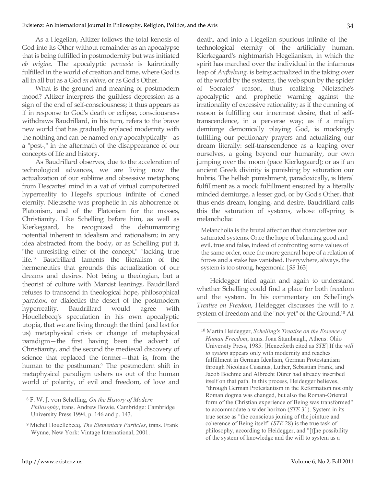As a Hegelian, Altizer follows the total kenosis of God into its Other without remainder as an apocalypse that is being fulfilled in postmodernity but was initiated *ab origine*. The apocalyptic *parousia* is kairotically fulfilled in the world of creation and time, where God is all in all but as a God *en abime*, or as God's Other.

What is the ground and meaning of postmodern mood? Altizer interprets the guiltless depression as a sign of the end of self-consciousness; it thus appears as if in response to God's death or eclipse, consciousness withdraws Baudrillard, in his turn, refers to the brave new world that has gradually replaced modernity with the nothing and can be named only apocalyptically—as a "post-," in the aftermath of the disappearance of our concepts of life and history.

As Baudrillard observes, due to the acceleration of technological advances, we are living now the actualization of our sublime and obsessive metaphors; from Descartes' mind in a vat of virtual computerized hyperreality to Hegel's spurious infinite of cloned eternity. Nietzsche was prophetic in his abhorrence of Platonism, and of the Platonism for the masses, Christianity. Like Schelling before him, as well as Kierkegaard, he recognized the dehumanizing potential inherent in idealism and rationalism; in any idea abstracted from the body, or as Schelling put it, "the unresisting ether of the concept," "lacking true life."8 Baudrillard laments the literalism of the hermeneutics that grounds this actualization of our dreams and desires. Not being a theologian, but a theorist of culture with Marxist leanings, Baudrillard refuses to transcend in theological hope, philosophical paradox, or dialectics the desert of the postmodern hyperreality. Baudrillard would agree with Houellebecq's speculation in his own apocalyptic utopia, that we are living through the third (and last for us) metaphysical crisis or change of metaphysical paradigm—the first having been the advent of Christianity, and the second the medieval discovery of science that replaced the former—that is, from the human to the posthuman.<sup>9</sup> The postmodern shift in metaphysical paradigm ushers us out of the human world of polarity, of evil and freedom, of love and death, and into a Hegelian spurious infinite of the technological eternity of the artificially human. Kierkegaard's nightmarish Hegelianism, in which the spirit has marched over the individual in the infamous leap of *Aufhebung,* is being actualized in the taking over of the world by the systems, the web spun by the spider of Socrates' reason, thus realizing Nietzsche's apocalyptic and prophetic warning against the irrationality of excessive rationality; as if the cunning of reason is fulfilling our innermost desire, that of selftranscendence, in a perverse way; as if a malign demiurge demonically playing God, is mockingly fulfilling our petitionary prayers and actualizing our dream literally: self-transcendence as a leaping over ourselves, a going beyond our humanity, our own jumping over the moon (pace Kierkegaard); or as if an ancient Greek divinity is punishing by saturation our hubris. The hellish punishment, paradoxically, is literal fulfillment as a mock fulfillment ensured by a literally minded demiurge, a lesser god, or by God's Other, that thus ends dream, longing, and desire. Baudrillard calls this the saturation of systems, whose offspring is melancholia:

Melancholia is the brutal affection that characterizes our saturated systems. Once the hope of balancing good and evil, true and false, indeed of confronting some values of the same order, once the more general hope of a relation of forces and a stake has vanished. Everywhere, always, the system is too strong, hegemonic. [*SS* 163]

Heidegger tried again and again to understand whether Schelling could find a place for both freedom and the system. In his commentary on Schelling's *Treatise on Freedom*, Heidegger discusses the will to a system of freedom and the "not-yet" of the Ground.10 At

 $\overline{a}$ 

<sup>8</sup> F. W. J. von Schelling, *On the History of Modern Philosophy*, trans. Andrew Bowie, Cambridge: Cambridge University Press 1994, p. 146 and p. 143.

<sup>9</sup> Michel Houellebecq, *The Elementary Particles*, trans. Frank Wynne, New York: Vintage International, 2001.

<sup>10</sup> Martin Heidegger, *Schelling's Treatise on the Essence of Human Freedom*, trans. Joan Stambaugh, Athens: Ohio University Press, 1985. [Henceforth cited as *STE*] If the *will to system* appears only with modernity and reaches fulfillment in German Idealism, German Protestantism through Nicolaus Cusanus, Luther, Sebastian Frank, and Jacob Boehme and Albrecht Dürer had already inscribed itself on that path. In this process, Heidegger believes, "through German Protestantism in the Reformation not only Roman dogma was changed, but also the Roman-Oriental form of the Christian experience of Being was transformed" to accommodate a wider horizon (*STE* 31). System in its true sense as "the conscious joining of the jointure and coherence of Being itself" (*STE* 28) is the true task of philosophy, according to Heidegger, and "[t]he possibility of the system of knowledge and the will to system as a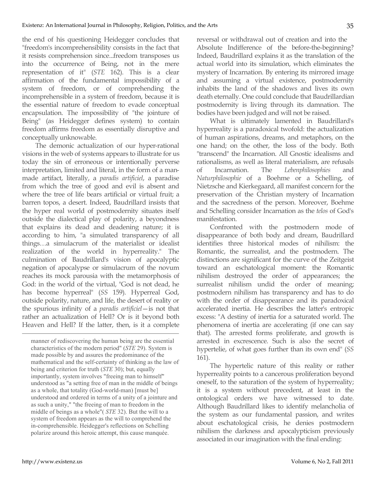the end of his questioning Heidegger concludes that "freedom's incomprehensibility consists in the fact that it resists comprehension since...freedom transposes us into the occurrence of Being, not in the mere representation of it" (*STE* 162). This is a clear affirmation of the fundamental impossibility of a system of freedom, or of comprehending the incomprehensible in a system of freedom, because it is the essential nature of freedom to evade conceptual encapsulation. The impossibility of "the jointure of Being" (as Heidegger defines system) to contain freedom affirms freedom as essentially disruptive and conceptually unknowable.

The demonic actualization of our hyper-rational visions in the web of systems appears to illustrate for us today the sin of erroneous or intentionally perverse interpretation, limited and literal, in the form of a manmade artifact, literally, a *paradis artificiel*, a paradise from which the tree of good and evil is absent and where the tree of life bears artificial or virtual fruit; a barren topos, a desert. Indeed, Baudrillard insists that the hyper real world of postmodernity situates itself outside the dialectical play of polarity, a beyondness that explains its dead and deadening nature; it is according to him, "a simulated transparency of all things…a simulacrum of the materialist or idealist realization of the world in hyperreality." The culmination of Baudrillard's vision of apocalyptic negation of apocalypse or simulacrum of the novum reaches its mock parousia with the metamorphosis of God: in the world of the virtual, "God is not dead, he has become hyperreal" (*SS* 159). Hyperreal God, outside polarity, nature, and life, the desert of reality or the spurious infinity of a *paradis artificiel*—is not that rather an actualization of Hell? Or is it beyond both Heaven and Hell? If the latter, then, is it a complete reversal or withdrawal out of creation and into the Absolute Indifference of the before-the-beginning? Indeed, Baudrillard explains it as the translation of the actual world into its simulation, which eliminates the mystery of Incarnation. By entering its mirrored image and assuming a virtual existence, postmodernity inhabits the land of the shadows and lives its own death eternally. One could conclude that Baudrillardian postmodernity is living through its damnation. The bodies have been judged and will not be raised.

What is ultimately lamented in Baudrillard's hyperreality is a paradoxical twofold: the actualization of human aspirations, dreams, and metaphors, on the one hand; on the other, the loss of the body. Both "transcend" the Incarnation. All Gnostic idealisms and rationalisms, as well as literal materialism, are refusals of Incarnation. The *Lebenphilosophies* and *Naturphilosophie* of a Boehme or a Schelling, of Nietzsche and Kierkegaard, all manifest concern for the preservation of the Christian mystery of Incarnation and the sacredness of the person. Moreover, Boehme and Schelling consider Incarnation as the *telos* of God's manifestation.

Confronted with the postmodern mode of disappearance of both body and dream, Baudrillard identifies three historical modes of nihilism: the Romantic, the surrealist, and the postmodern. The distinctions are significant for the curve of the Zeitgeist toward an eschatological moment: the Romantic nihilism destroyed the order of appearances; the surrealist nihilism undid the order of meaning; postmodern nihilism has transparency and has to do with the order of disappearance and its paradoxical accelerated inertia. He describes the latter's entropic excess: "A destiny of inertia for a saturated world. The phenomena of inertia are accelerating (if one can say that). The arrested forms proliferate, and growth is arrested in excrescence. Such is also the secret of hypertelie, of what goes further than its own end" (*SS* 161).

The hypertelic nature of this reality or rather hyperreality points to a cancerous proliferation beyond oneself, to the saturation of the system of hyperreality; it is a system without precedent, at least in the ontological orders we have witnessed to date. Although Baudrillard likes to identify melancholia of the system as our fundamental passion, and writes about eschatological crisis, he denies postmodern nihilism the darkness and apocalypticism previously associated in our imagination with the final ending:

manner of rediscovering the human being are the essential characteristics of the modern period" (*STE* 29). System is made possible by and assures the predominance of the mathematical and the self-certainty of thinking as the law of being and criterion for truth (*STE* 30); but, equally importantly, system involves "freeing man to himself" understood as "a setting free of man in the middle of beings as a whole, that totality (God-world-man) [must be] understood and ordered in terms of a unity of a jointure and as such a unity," "the freeing of man to freedom in the middle of beings as a whole"( *STE* 32). But the will to a system of freedom appears as the will to comprehend the in-comprehensible. Heidegger's reflections on Schelling polarize around this heroic attempt, this cause manquée.